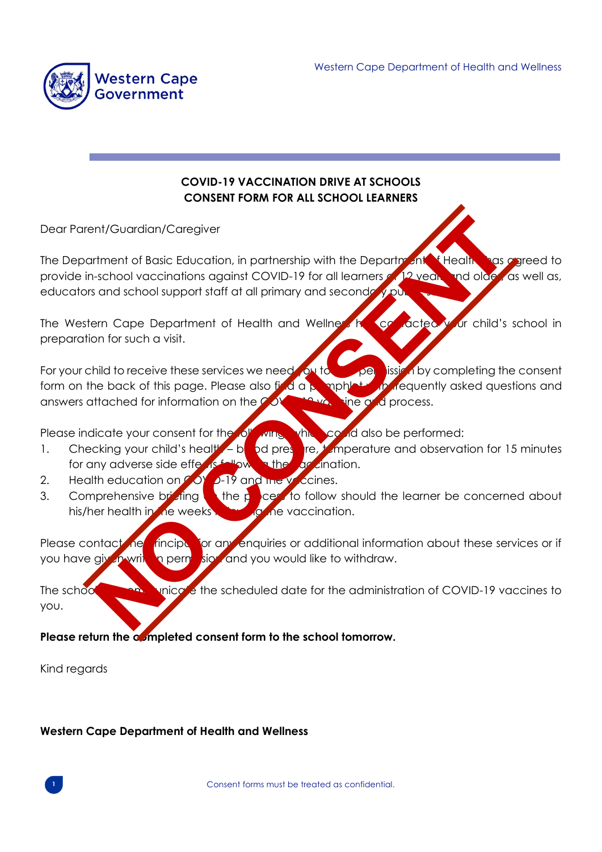

## **COVID-19 VACCINATION DRIVE AT SCHOOLS CONSENT FORM FOR ALL SCHOOL LEARNERS**

Dear Parent/Guardian/Caregiver

The Department of Basic Education, in partnership with the Department of Health, has agreed to provide in-school vaccinations against COVID-19 for all learners of 12 years and older, as well as, educators and school support staff at all primary and secondary public schools. Intervention Caregiver<br>
Intervention of Basic Education, in partnership with the Department of Basic school vaccinations against COVID-19 for all learners of Process.<br>
Intervention of such a visit.<br>
Intervention of the lea

The Western Cape Department of Health and Wellness has contacted your child's school in preparation for such a visit.

For your child to receive these services we need you to give permission by completing the consent form on the back of this page. Please also find a pamphlet with frequently asked questions and answers attached for information on the COVID-19 vaccine and process.

Please indicate your consent for the following, which could also be performed:

- 1. Checking your child's health blood pressure, temperature and observation for 15 minutes for any adverse side effects following the carcination.
- 2. Health education on  $\sim$  0Y  $\sim$  19 and the vaccines.
- 3. Comprehensive briefing the process to follow should the learner be concerned about his/her health in the weeks **following** the vaccination.

Please contact he rincipal for any enquiries or additional information about these services or if you have given writting permission and you would like to withdraw.

The school will communicate the scheduled date for the administration of COVID-19 vaccines to you.

**Please return the completed consent form to the school tomorrow.** 

Kind regards

## **Western Cape Department of Health and Wellness**